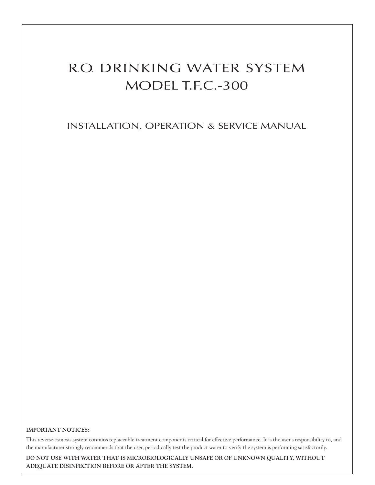# R.O. DRINKING WATER SYSTEM MODEL T.F.C.-300

INSTALLATION, OPERATION & SERVICE MANUAL

#### **IMPORTANT NOTICES:**

This reverse osmosis system contains replaceable treatment components critical for effective performance. It is the user's responsibility to, and the manufacturer strongly recommends that the user, periodically test the product water to verify the system is performing satisfactorily.

**DO NOT USE WITH WATER THAT IS MICROBIOLOGICALLY UNSAFE OR OF UNKNOWN QUALITY, WITHOUT ADEQUATE DISINFECTION BEFORE OR AFTER THE SYSTEM.**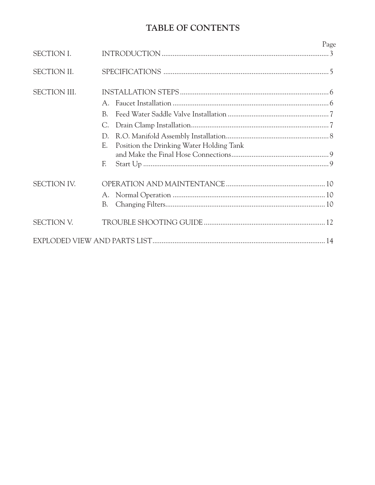# TABLE OF CONTENTS

|                     |                                                                                                   | Page |
|---------------------|---------------------------------------------------------------------------------------------------|------|
| <b>SECTION I.</b>   |                                                                                                   |      |
| <b>SECTION II.</b>  |                                                                                                   |      |
| <b>SECTION III.</b> | $A_{\cdot}$<br>B <sub>1</sub><br>С.<br>D.<br>Position the Drinking Water Holding Tank<br>E.<br>F. |      |
| <b>SECTION IV.</b>  | В.                                                                                                |      |
| <b>SECTION V.</b>   |                                                                                                   |      |
|                     |                                                                                                   |      |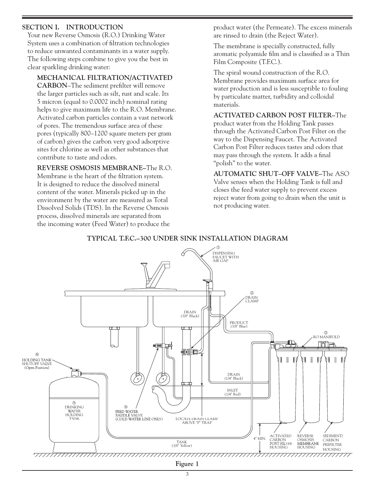#### **SECTION I. INTRODUCTION**

 Your new Reverse Osmosis (R.O.) Drinking Water System uses a combination of filtration technologies to reduce unwanted contaminants in a water supply. The following steps combine to give you the best in clear sparkling drinking water:

 **MECHANICAL FILTRATION/ACTIVATED CARBON**–The sediment prefilter will remove the larger particles such as silt, rust and scale. Its 5 micron (equal to 0.0002 inch) nominal rating helps to give maximum life to the R.O. Membrane. Activated carbon particles contain a vast network of pores. The tremendous surface area of these pores (typically 800–1200 square meters per gram of carbon) gives the carbon very good adsorptive sites for chlorine as well as other substances that contribute to taste and odors.

 **REVERSE OSMOSIS MEMBRANE–**The R.O. Membrane is the heart of the filtration system. It is designed to reduce the dissolved mineral content of the water. Minerals picked up in the environment by the water are measured as Total Dissolved Solids (TDS). In the Reverse Osmosis process, dissolved minerals are separated from the incoming water (Feed Water) to produce the

(1/4" Red)

product water (the Permeate). The excess minerals are rinsed to drain (the Reject Water).

 The membrane is specially constructed, fully aromatic polyamide film and is classified as a Thin Film Composite (T.F.C.).

 The spiral wound construction of the R.O. Membrane provides maximum surface area for water production and is less susceptible to fouling by particulate matter, turbidity and colloidal materials.

**ACTIVATED CARBON POST FILTER–**The product water from the Holding Tank passes through the Activated Carbon Post Filter on the way to the Dispensing Faucet. The Activated Carbon Post Filter reduces tastes and odors that may pass through the system. It adds a final "polish" to the water.

**AUTOMATIC SHUT–OFF VALVE–**The ASO Valve senses when the Holding Tank is full and closes the feed water supply to prevent excess reject water from going to drain when the unit is not producing water.

ACTIVATED

4" MIN.

REVERSE

SEDIMENT/



#### **TYPICAL T.F.C.–300 UNDER SINK INSTALLATION DIAGRAM**

**Figure 1**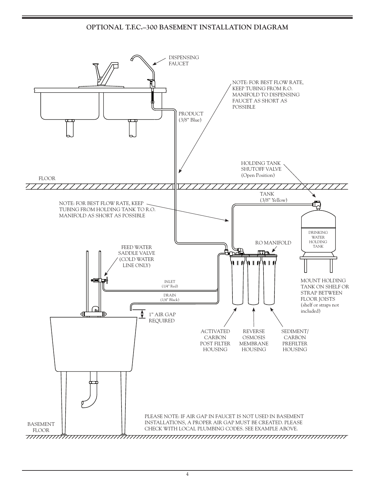#### OPTIONAL T.F.C.-300 BASEMENT INSTALLATION DIAGRAM

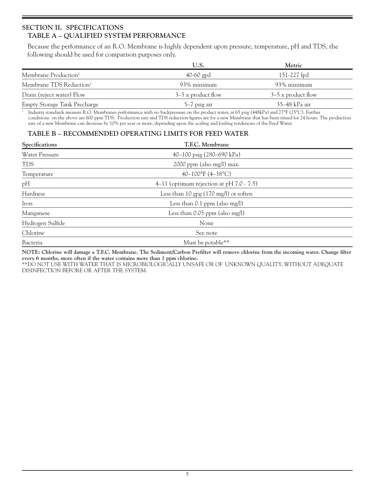### **SECTION II. SPECIFICATIONS TABLE A – QUALIFIED SYSTEM PERFORMANCE**

 Because the performance of an R.O. Membrane is highly dependent upon pressure, temperature, pH and TDS, the following should be used for comparison purposes only.

|                                     | U.S.                 | Metric               |  |
|-------------------------------------|----------------------|----------------------|--|
| Membrane Production <sup>1</sup>    | 40-60 gpd            | $151-227$ lpd        |  |
| Membrane TDS Reduction <sup>1</sup> | 93% minimum          | 93% minimum          |  |
| Drain (reject water) Flow           | $3-5$ x product flow | $3-5$ x product flow |  |
| <b>Empty Storage Tank Precharge</b> | $5-7$ psig air       | 35–48 kPa air        |  |

1 Industry standards measure R.O. Membranes performance with no backpressure on the product water, at 65 psig (448kPa) and 77°F (25°C). Further conditions on the above are 600 ppm TDS. Production rate and TDS reduction figures are for a new Membrane that has been rinsed for 24 hours. The production rate of a new Membrane can decrease by 10% per year or more, depending upon the scaling and fouling tendencies of the Feed Water.

#### **TABLE B – RECOMMENDED OPERATING LIMITS FOR FEED WATER**

| Specifications        | T.F.C. Membrane                                 |  |
|-----------------------|-------------------------------------------------|--|
| <b>Water Pressure</b> | 40–100 psig (280–690 kPa)                       |  |
| <b>TDS</b>            | $2000$ ppm (also mg/l) max.                     |  |
| Temperature           | $40-100$ °F (4-38°C)                            |  |
| pH                    | 4–11 (optimum rejection at pH $7.0 \div 7.5$ )  |  |
| Hardness              | Less than 10 gpg $(170 \text{ mg/l})$ or soften |  |
| Iron                  | Less than $0.1$ ppm (also mg/l)                 |  |
| Manganese             | Less than $0.05$ ppm (also mg/l)                |  |
| Hydrogen Sulfide      | None                                            |  |
| Chlorine              | See note                                        |  |
| Bacteria              | Must be potable**                               |  |

**NOTE: Chlorine will damage a T.F.C. Membrane. The Sediment/Carbon Prefilter will remove chlorine from the incoming water. Change filter every 6 months, more often if the water contains more than 1 ppm chlorine.**

\*\*DO NOT USE WITH WATER THAT IS MICROBIOLOGICALLY UNSAFE OR OF UNKNOWN QUALITY, WITHOUT ADEQUATE DISINFECTION BEFORE OR AFTER THE SYSTEM.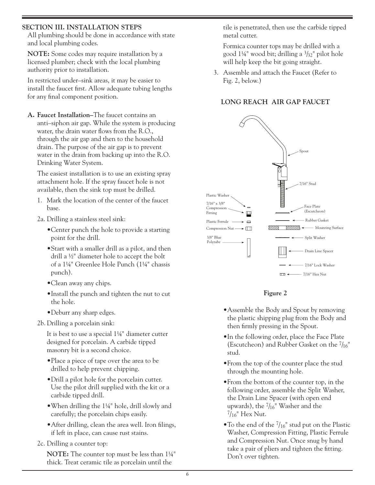#### SECTION III. INSTALLATION STEPS

All plumbing should be done in accordance with state and local plumbing codes.

NOTE: Some codes may require installation by a licensed plumber; check with the local plumbing authority prior to installation.

In restricted under-sink areas, it may be easier to install the faucet first. Allow adequate tubing lengths for any final component position.

A. Faucet Installation-The faucet contains an anti-siphon air gap. While the system is producing water, the drain water flows from the R.O., through the air gap and then to the household drain. The purpose of the air gap is to prevent water in the drain from backing up into the R.O. Drinking Water System.

The easiest installation is to use an existing spray attachment hole. If the spray faucet hole is not available, then the sink top must be drilled.

- 1. Mark the location of the center of the faucet base.
- 2a. Drilling a stainless steel sink:
	- Center punch the hole to provide a starting point for the drill.
	- Start with a smaller drill as a pilot, and then drill a 1/2" diameter hole to accept the bolt of a 1¼" Greenlee Hole Punch (1¼" chassis punch).
	- Clean away any chips.
	- •Install the punch and tighten the nut to cut the hole.
	- Deburr any sharp edges.
- 2b. Drilling a porcelain sink:

It is best to use a special 1¼" diameter cutter designed for porcelain. A carbide tipped masonry bit is a second choice.

- Place a piece of tape over the area to be drilled to help prevent chipping.
- Drill a pilot hole for the porcelain cutter. Use the pilot drill supplied with the kit or a carbide tipped drill.
- When drilling the  $1\frac{1}{4}$ " hole, drill slowly and carefully; the porcelain chips easily.
- After drilling, clean the area well. Iron filings, if left in place, can cause rust stains.
- 2c. Drilling a counter top:

**NOTE:** The counter top must be less than 11/4" thick. Treat ceramic tile as porcelain until the

tile is penetrated, then use the carbide tipped metal cutter.

Formica counter tops may be drilled with a good 1¼" wood bit; drilling a  $\frac{3}{2}$ " pilot hole will help keep the bit going straight.

3. Assemble and attach the Faucet (Refer to Fig. 2, below.)

# LONG REACH AIR GAP FAUCET





- Assemble the Body and Spout by removing the plastic shipping plug from the Body and then firmly pressing in the Spout.
- . In the following order, place the Face Plate (Escutcheon) and Rubber Gasket on the  $7/16$ " stud.
- From the top of the counter place the stud through the mounting hole.
- From the bottom of the counter top, in the following order, assemble the Split Washer, the Drain Line Spacer (with open end upwards), the  $7/16$ " Washer and the  $7/16$ " Hex Nut.
- To the end of the  $7/16$ " stud put on the Plastic Washer, Compression Fitting, Plastic Ferrule and Compression Nut. Once snug by hand take a pair of pliers and tighten the fitting. Don't over tighten.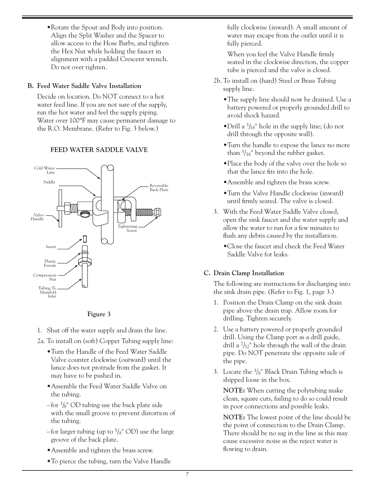•Rotate the Spout and Body into position. Align the Split Washer and the Spacer to allow access to the Hose Barbs, and tighten the Hex Nut while holding the faucet in alignment with a padded Crescent wrench. Do not over tighten.

#### **B. Feed Water Saddle Valve Installation**

 Decide on location. Do NOT connect to a hot water feed line. If you are not sure of the supply, run the hot water and feel the supply piping. Water over 100°F may cause permanent damage to the R.O. Membrane. (Refer to Fig. 3 below.)

#### **FEED WATER SADDLE VALVE**



**Figure 3**

- 1. Shut off the water supply and drain the line.
- 2a. To install on (soft) Copper Tubing supply line:
	- •Turn the Handle of the Feed Water Saddle Valve counter clockwise (outward) until the lance does not protrude from the gasket. It may have to be pushed in.
	- •Assemble the Feed Water Saddle Valve on the tubing.
	- $-$  for  $\frac{3}{8}$ " OD tubing use the back plate side with the small groove to prevent distortion of the tubing.
	- for larger tubing (up to  $\frac{5}{8}$ " OD) use the large groove of the back plate.
	- •Assemble and tighten the brass screw.
	- •To pierce the tubing, turn the Valve Handle

fully clockwise (inward). A small amount of water may escape from the outlet until it is fully pierced.

 When you feel the Valve Handle firmly seated in the clockwise direction, the copper tube is pierced and the valve is closed.

- 2b. To install on (hard) Steel or Brass Tubing supply line.
	- •The supply line should now be drained. Use a battery powered or properly grounded drill to avoid shock hazard.
	- Drill a  $\frac{3}{16}$ " hole in the supply line; (do not drill through the opposite wall).
	- •Turn the handle to expose the lance no more than  $\frac{3}{16}$ " beyond the rubber gasket.
	- •Place the body of the valve over the hole so that the lance fits into the hole.
	- •Assemble and tighten the brass screw.
	- •Turn the Valve Handle clockwise (inward) until firmly seated. The valve is closed.
- 3. With the Feed Water Saddle Valve closed, open the sink faucet and the water supply and allow the water to run for a few minutes to flush any debris caused by the installation.
	- •Close the faucet and check the Feed Water Saddle Valve for leaks.

#### **C. Drain Clamp Installation**

 The following are instructions for discharging into the sink drain pipe. (Refer to Fig. 1, page 3.)

- 1. Position the Drain Clamp on the sink drain pipe above the drain trap. Allow room for drilling. Tighten securely.
- 2. Use a battery powered or properly grounded drill. Using the Clamp port as a drill guide, drill a  $7/32$ " hole through the wall of the drain pipe. Do NOT penetrate the opposite side of the pipe.
- 3. Locate the  $\frac{3}{8}$ " Black Drain Tubing which is shipped loose in the box.

**NOTE:** When cutting the polytubing make clean, square cuts, failing to do so could result in poor connections and possible leaks.

**NOTE:** The lowest point of the line should be the point of connection to the Drain Clamp. There should be no sag in the line as this may cause excessive noise as the reject water is flowing to drain.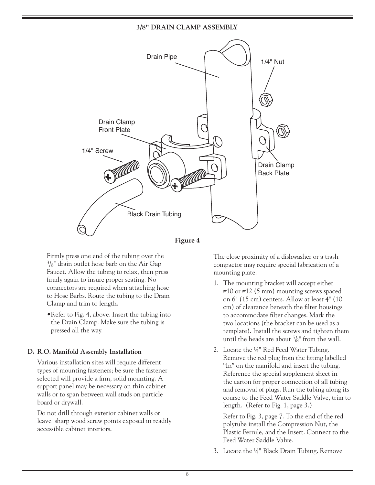#### **3/8" DRAIN CLAMP ASSEMBLY**





 Firmly press one end of the tubing over the  $3\frac{1}{8}$ " drain outlet hose barb on the Air Gap Faucet. Allow the tubing to relax, then press firmly again to insure proper seating. No connectors are required when attaching hose to Hose Barbs. Route the tubing to the Drain Clamp and trim to length.

•Refer to Fig. 4, above. Insert the tubing into the Drain Clamp. Make sure the tubing is pressed all the way.

#### **D. R.O. Manifold Assembly Installation**

 Various installation sites will require different types of mounting fasteners; be sure the fastener selected will provide a firm, solid mounting. A support panel may be necessary on thin cabinet walls or to span between wall studs on particle board or drywall.

 Do not drill through exterior cabinet walls or leave sharp wood screw points exposed in readily accessible cabinet interiors.

 The close proximity of a dishwasher or a trash compactor may require special fabrication of a mounting plate.

- 1. The mounting bracket will accept either  $\#10$  or  $\#12$  (5 mm) mounting screws spaced on 6" (15 cm) centers. Allow at least 4" (10 cm) of clearance beneath the filter housings to accommodate filter changes. Mark the two locations (the bracket can be used as a template). Install the screws and tighten them until the heads are about  $\frac{5}{8}$ " from the wall.
- 2. Locate the ¼" Red Feed Water Tubing. Remove the red plug from the fitting labelled "In" on the manifold and insert the tubing. Reference the special supplement sheet in the carton for proper connection of all tubing and removal of plugs. Run the tubing along its course to the Feed Water Saddle Valve, trim to length. (Refer to Fig. 1, page 3.)

 Refer to Fig. 3, page 7. To the end of the red polytube install the Compression Nut, the Plastic Ferrule, and the Insert. Connect to the Feed Water Saddle Valve.

3. Locate the ¼" Black Drain Tubing. Remove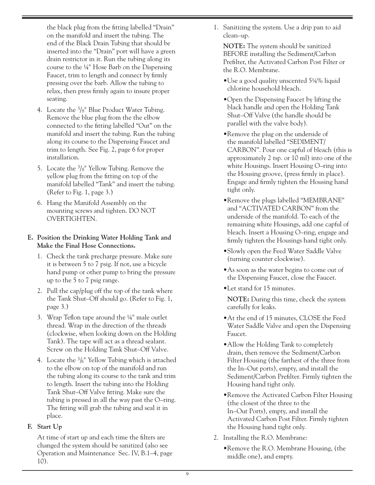the black plug from the fitting labelled "Drain" on the manifold and insert the tubing. The end of the Black Drain Tubing that should be inserted into the "Drain" port will have a green drain restrictor in it. Run the tubing along its course to the ¼" Hose Barb on the Dispensing Faucet, trim to length and connect by firmly pressing over the barb. Allow the tubing to relax, then press firmly again to insure proper seating.

- 4. Locate the  $\frac{3}{8}$ " Blue Product Water Tubing. Remove the blue plug from the the elbow connected to the fitting labelled "Out" on the manifold and insert the tubing. Run the tubing along its course to the Dispensing Faucet and trim to length. See Fig. 2, page 6 for proper installation.
- 5. Locate the  $\frac{3}{8}$ " Yellow Tubing. Remove the yellow plug from the fitting on top of the manifold labelled "Tank" and insert the tubing. (Refer to Fig. 1, page 3.)
- 6. Hang the Manifold Assembly on the mounting screws and tighten. DO NOT OVERTIGHTEN.

#### **E. Position the Drinking Water Holding Tank and Make the Final Hose Connections.**

- 1. Check the tank precharge pressure. Make sure it is between 5 to 7 psig. If not, use a bicycle hand pump or other pump to bring the pressure up to the 5 to 7 psig range.
- 2. Pull the cap/plug off the top of the tank where the Tank Shut–Off should go. (Refer to Fig. 1, page 3.)
- 3. Wrap Teflon tape around the ¼" male outlet thread. Wrap in the direction of the threads (clockwise, when looking down on the Holding Tank). The tape will act as a thread sealant. Screw on the Holding Tank Shut–Off Valve.
- 4. Locate the  $\frac{3}{8}$ " Yellow Tubing which is attached to the elbow on top of the manifold and run the tubing along its course to the tank and trim to length. Insert the tubing into the Holding Tank Shut–Off Valve fitting. Make sure the tubing is pressed in all the way past the O–ring. The fitting will grab the tubing and seal it in place.

#### **F. Start Up**

 At time of start up and each time the filters are changed the system should be sanitized (also see Operation and Maintenance Sec. IV, B.1–4, page 10).

1. Sanitizing the system. Use a drip pan to aid clean–up.

**NOTE:** The system should be sanitized BEFORE installing the Sediment/Carbon Prefilter, the Activated Carbon Post Filter or the R.O. Membrane.

- •Use a good quality unscented 5¼% liquid chlorine household bleach.
- •Open the Dispensing Faucet by lifting the black handle and open the Holding Tank Shut–Off Valve (the handle should be parallel with the valve body).
- •Remove the plug on the underside of the manifold labelled "SEDIMENT/ CARBON". Pour one capful of bleach (this is approximately 2 tsp. or 10 ml) into one of the white Housings. Insert Housing O–ring into the Housing groove, (press firmly in place). Engage and firmly tighten the Housing hand tight only.
- •Remove the plugs labelled "MEMBRANE" and "ACTIVATED CARBON" from the underside of the manifold. To each of the remaining white Housings, add one capful of bleach. Insert a Housing O–ring, engage and firmly tighten the Housings hand tight only.
- •Slowly open the Feed Water Saddle Valve (turning counter clockwise).
- •As soon as the water begins to come out of the Dispensing Faucet, close the Faucet.
- •Let stand for 15 minutes.

**NOTE:** During this time, check the system carefully for leaks.

- •At the end of 15 minutes, CLOSE the Feed Water Saddle Valve and open the Dispensing Faucet.
- Allow the Holding Tank to completely drain, then remove the Sediment/Carbon Filter Housing (the farthest of the three from the In–Out ports), empty, and install the Sediment/Carbon Prefilter. Firmly tighten the Housing hand tight only.
- •Remove the Activated Carbon Filter Housing (the closest of the three to the In–Out Ports), empty, and install the Activated Carbon Post Filter. Firmly tighten the Housing hand tight only.
- 2. Installing the R.O. Membrane:
	- •Remove the R.O. Membrane Housing, (the middle one), and empty.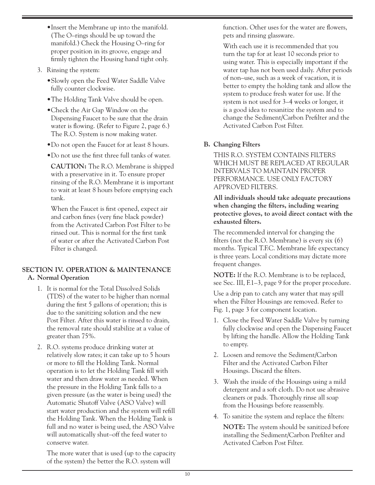- •Insert the Membrane up into the manifold. (The O–rings should be up toward the manifold.) Check the Housing O–ring for proper position in its groove, engage and firmly tighten the Housing hand tight only.
- 3. Rinsing the system:
	- •Slowly open the Feed Water Saddle Valve fully counter clockwise.
	- •The Holding Tank Valve should be open.
	- •Check the Air Gap Window on the Dispensing Faucet to be sure that the drain water is flowing. (Refer to Figure 2, page 6.) The R.O. System is now making water.
	- •Do not open the Faucet for at least 8 hours.
	- •Do not use the first three full tanks of water.

**CAUTION:** The R.O. Membrane is shipped with a preservative in it. To ensure proper rinsing of the R.O. Membrane it is important to wait at least 8 hours before emptying each tank.

 When the Faucet is first opened, expect air and carbon fines (very fine black powder) from the Activated Carbon Post Filter to be rinsed out. This is normal for the first tank of water or after the Activated Carbon Post Filter is changed.

#### **SECTION IV. OPERATION & MAINTENANCE A. Normal Operation**

- 1. It is normal for the Total Dissolved Solids (TDS) of the water to be higher than normal during the first 5 gallons of operation; this is due to the sanitizing solution and the new Post Filter. After this water is rinsed to drain, the removal rate should stabilize at a value of greater than 75%.
- 2. R.O. systems produce drinking water at relatively slow rates; it can take up to 5 hours or more to fill the Holding Tank. Normal operation is to let the Holding Tank fill with water and then draw water as needed. When the pressure in the Holding Tank falls to a given pressure (as the water is being used) the Automatic Shutoff Valve (ASO Valve) will start water production and the system will refill the Holding Tank. When the Holding Tank is full and no water is being used, the ASO Valve will automatically shut–off the feed water to conserve water.

 The more water that is used (up to the capacity of the system) the better the R.O. system will

function. Other uses for the water are flowers, pets and rinsing glassware.

 With each use it is recommended that you turn the tap for at least 10 seconds prior to using water. This is especially important if the water tap has not been used daily. After periods of non–use, such as a week of vacation, it is better to empty the holding tank and allow the system to produce fresh water for use. If the system is not used for 3–4 weeks or longer, it is a good idea to resanitize the system and to change the Sediment/Carbon Prefilter and the Activated Carbon Post Filter.

## **B. Changing Filters**

 THIS R.O. SYSTEM CONTAINS FILTERS WHICH MUST BE REPLACED AT REGULAR INTERVALS TO MAINTAIN PROPER PERFORMANCE. USE ONLY FACTORY APPROVED FILTERS.

**All individuals should take adequate precautions when changing the filters, including wearing protective gloves, to avoid direct contact with the exhausted filters.** 

 The recommended interval for changing the filters (not the R.O. Membrane) is every six (6) months. Typical T.F.C. Membrane life expectancy is three years. Local conditions may dictate more frequent changes.

**NOTE:** If the R.O. Membrane is to be replaced, see Sec. III, F.1–3, page 9 for the proper procedure.

 Use a drip pan to catch any water that may spill when the Filter Housings are removed. Refer to Fig. 1, page 3 for component location.

- 1. Close the Feed Water Saddle Valve by turning fully clockwise and open the Dispensing Faucet by lifting the handle. Allow the Holding Tank to empty.
- 2. Loosen and remove the Sediment/Carbon Filter and the Activated Carbon Filter Housings. Discard the filters.
- 3. Wash the inside of the Housings using a mild detergent and a soft cloth. Do not use abrasive cleaners or pads. Thoroughly rinse all soap from the Housings before reassembly.
- 4. To sanitize the system and replace the filters: **NOTE:** The system should be sanitized before installing the Sediment/Carbon Prefilter and Activated Carbon Post Filter.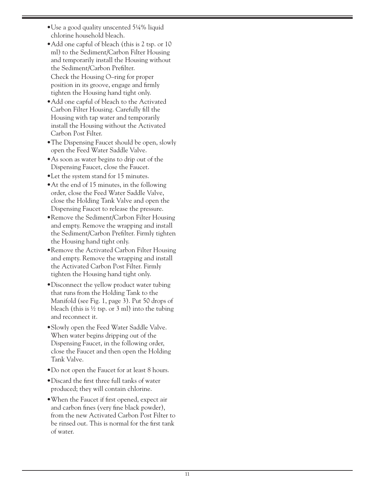- •Use a good quality unscented 5¼% liquid chlorine household bleach.
- Add one capful of bleach (this is 2 tsp. or 10 ml) to the Sediment/Carbon Filter Housing and temporarily install the Housing without the Sediment/Carbon Prefilter. Check the Housing O–ring for proper position in its groove, engage and firmly tighten the Housing hand tight only.
- •Add one capful of bleach to the Activated Carbon Filter Housing. Carefully fill the Housing with tap water and temporarily install the Housing without the Activated Carbon Post Filter.
- •The Dispensing Faucet should be open, slowly open the Feed Water Saddle Valve.
- •As soon as water begins to drip out of the Dispensing Faucet, close the Faucet.
- •Let the system stand for 15 minutes.
- •At the end of 15 minutes, in the following order, close the Feed Water Saddle Valve, close the Holding Tank Valve and open the Dispensing Faucet to release the pressure.
- •Remove the Sediment/Carbon Filter Housing and empty. Remove the wrapping and install the Sediment/Carbon Prefilter. Firmly tighten the Housing hand tight only.
- •Remove the Activated Carbon Filter Housing and empty. Remove the wrapping and install the Activated Carbon Post Filter. Firmly tighten the Housing hand tight only.
- •Disconnect the yellow product water tubing that runs from the Holding Tank to the Manifold (see Fig. 1, page 3). Put 50 drops of bleach (this is  $\frac{1}{2}$  tsp. or 3 ml) into the tubing and reconnect it.
- •Slowly open the Feed Water Saddle Valve. When water begins dripping out of the Dispensing Faucet, in the following order, close the Faucet and then open the Holding Tank Valve.
- •Do not open the Faucet for at least 8 hours.
- •Discard the first three full tanks of water produced; they will contain chlorine.
- •When the Faucet if first opened, expect air and carbon fines (very fine black powder), from the new Activated Carbon Post Filter to be rinsed out. This is normal for the first tank of water.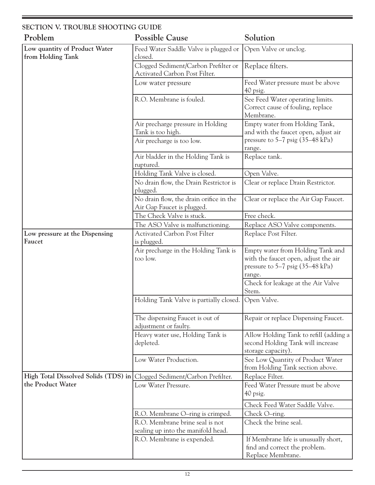| SECTION V. TROUBLE SHOOTING GUIDE                  |                                                                                     |                                                                                                                                                                           |
|----------------------------------------------------|-------------------------------------------------------------------------------------|---------------------------------------------------------------------------------------------------------------------------------------------------------------------------|
| Problem                                            | <b>Possible Cause</b>                                                               | Solution                                                                                                                                                                  |
| Low quantity of Product Water<br>from Holding Tank | Feed Water Saddle Valve is plugged or<br>closed.                                    | Open Valve or unclog.                                                                                                                                                     |
|                                                    | Clogged Sediment/Carbon Prefilter or<br>Activated Carbon Post Filter.               | Replace filters.                                                                                                                                                          |
|                                                    | Low water pressure                                                                  | Feed Water pressure must be above<br>40 psig.                                                                                                                             |
|                                                    | R.O. Membrane is fouled.                                                            | See Feed Water operating limits.<br>Correct cause of fouling, replace<br>Membrane.                                                                                        |
|                                                    | Air precharge pressure in Holding<br>Tank is too high.<br>Air precharge is too low. | Empty water from Holding Tank,<br>and with the faucet open, adjust air<br>pressure to $5-7$ psig $(35-48 \text{ kPa})$<br>range.                                          |
|                                                    | Air bladder in the Holding Tank is<br>ruptured.                                     | Replace tank.                                                                                                                                                             |
|                                                    | Holding Tank Valve is closed.                                                       | Open Valve.                                                                                                                                                               |
|                                                    | No drain flow, the Drain Restrictor is<br>plugged.                                  | Clear or replace Drain Restrictor.                                                                                                                                        |
|                                                    | No drain flow, the drain orifice in the<br>Air Gap Faucet is plugged.               | Clear or replace the Air Gap Faucet.                                                                                                                                      |
|                                                    | The Check Valve is stuck.                                                           | Free check.                                                                                                                                                               |
|                                                    | The ASO Valve is malfunctioning.                                                    | Replace ASO Valve components.                                                                                                                                             |
| Low pressure at the Dispensing<br>Faucet           | <b>Activated Carbon Post Filter</b><br>is plugged.                                  | Replace Post Filter.                                                                                                                                                      |
|                                                    | Air precharge in the Holding Tank is<br>too low.                                    | Empty water from Holding Tank and<br>with the faucet open, adjust the air<br>pressure to $5-7$ psig $(35-48 \text{ kPa})$<br>range.<br>Check for leakage at the Air Valve |
|                                                    |                                                                                     | Stem.                                                                                                                                                                     |
|                                                    | Holding Tank Valve is partially closed. Open Valve.                                 |                                                                                                                                                                           |
|                                                    | The dispensing Faucet is out of<br>adjustment or faulty.                            | Repair or replace Dispensing Faucet.                                                                                                                                      |
|                                                    | Heavy water use, Holding Tank is<br>depleted.                                       | Allow Holding Tank to refill (adding a<br>second Holding Tank will increase<br>storage capacity).                                                                         |
|                                                    | Low Water Production.                                                               | See Low Quantity of Product Water<br>from Holding Tank section above.                                                                                                     |
| High Total Dissolved Solids (TDS) in               | Clogged Sediment/Carbon Prefilter.                                                  | Replace Filter.                                                                                                                                                           |
| the Product Water                                  | Low Water Pressure.                                                                 | Feed Water Pressure must be above<br>40 psig.                                                                                                                             |
|                                                    |                                                                                     | Check Feed Water Saddle Valve.                                                                                                                                            |
|                                                    | R.O. Membrane O-ring is crimped.                                                    | Check O-ring.                                                                                                                                                             |
|                                                    | R.O. Membrane brine seal is not<br>sealing up into the manifold head.               | Check the brine seal.                                                                                                                                                     |
|                                                    | R.O. Membrane is expended.                                                          | If Membrane life is unusually short,<br>find and correct the problem.<br>Replace Membrane.                                                                                |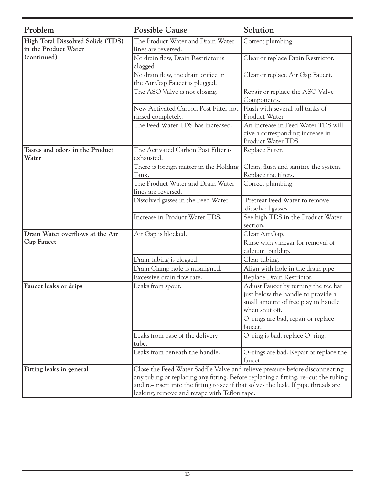| Problem                                                   | <b>Possible Cause</b>                                                                                                                                                                                                                                                                                   | Solution                                                                                                                            |
|-----------------------------------------------------------|---------------------------------------------------------------------------------------------------------------------------------------------------------------------------------------------------------------------------------------------------------------------------------------------------------|-------------------------------------------------------------------------------------------------------------------------------------|
| High Total Dissolved Solids (TDS)<br>in the Product Water | The Product Water and Drain Water<br>lines are reversed.                                                                                                                                                                                                                                                | Correct plumbing.                                                                                                                   |
| (continued)                                               | No drain flow, Drain Restrictor is<br>clogged.                                                                                                                                                                                                                                                          | Clear or replace Drain Restrictor.                                                                                                  |
|                                                           | No drain flow, the drain orifice in<br>the Air Gap Faucet is plugged.                                                                                                                                                                                                                                   | Clear or replace Air Gap Faucet.                                                                                                    |
|                                                           | The ASO Valve is not closing.                                                                                                                                                                                                                                                                           | Repair or replace the ASO Valve<br>Components.                                                                                      |
|                                                           | New Activated Carbon Post Filter not<br>rinsed completely.                                                                                                                                                                                                                                              | Flush with several full tanks of<br>Product Water.                                                                                  |
|                                                           | The Feed Water TDS has increased.                                                                                                                                                                                                                                                                       | An increase in Feed Water TDS will<br>give a corresponding increase in<br>Product Water TDS.                                        |
| Tastes and odors in the Product<br>Water                  | The Activated Carbon Post Filter is<br>exhausted.                                                                                                                                                                                                                                                       | Replace Filter.                                                                                                                     |
|                                                           | There is foreign matter in the Holding<br>Tank.                                                                                                                                                                                                                                                         | Clean, flush and sanitize the system.<br>Replace the filters.                                                                       |
|                                                           | The Product Water and Drain Water<br>lines are reversed.                                                                                                                                                                                                                                                | Correct plumbing.                                                                                                                   |
|                                                           | Dissolved gasses in the Feed Water.                                                                                                                                                                                                                                                                     | Pretreat Feed Water to remove<br>dissolved gasses.                                                                                  |
|                                                           | Increase in Product Water TDS.                                                                                                                                                                                                                                                                          | See high TDS in the Product Water<br>section.                                                                                       |
| Drain Water overflows at the Air                          | Air Gap is blocked.                                                                                                                                                                                                                                                                                     | Clear Air Gap.                                                                                                                      |
| <b>Gap Faucet</b>                                         |                                                                                                                                                                                                                                                                                                         | Rinse with vinegar for removal of<br>calcium buildup.                                                                               |
|                                                           | Drain tubing is clogged.                                                                                                                                                                                                                                                                                | Clear tubing.                                                                                                                       |
|                                                           | Drain Clamp hole is misaligned.                                                                                                                                                                                                                                                                         | Align with hole in the drain pipe.                                                                                                  |
|                                                           | Excessive drain flow rate.                                                                                                                                                                                                                                                                              | Replace Drain Restrictor.                                                                                                           |
| Faucet leaks or drips                                     | Leaks from spout.                                                                                                                                                                                                                                                                                       | Adjust Faucet by turning the tee bar<br>just below the handle to provide a<br>small amount of free play in handle<br>when shut off. |
|                                                           |                                                                                                                                                                                                                                                                                                         | O-rings are bad, repair or replace<br>faucet.                                                                                       |
|                                                           | Leaks from base of the delivery<br>tube.                                                                                                                                                                                                                                                                | O-ring is bad, replace O-ring.                                                                                                      |
|                                                           | Leaks from beneath the handle.                                                                                                                                                                                                                                                                          | O-rings are bad. Repair or replace the<br>faucet.                                                                                   |
| Fitting leaks in general                                  | Close the Feed Water Saddle Valve and relieve pressure before disconnecting<br>any tubing or replacing any fitting. Before replacing a fitting, re-cut the tubing<br>and re-insert into the fitting to see if that solves the leak. If pipe threads are<br>leaking, remove and retape with Teflon tape. |                                                                                                                                     |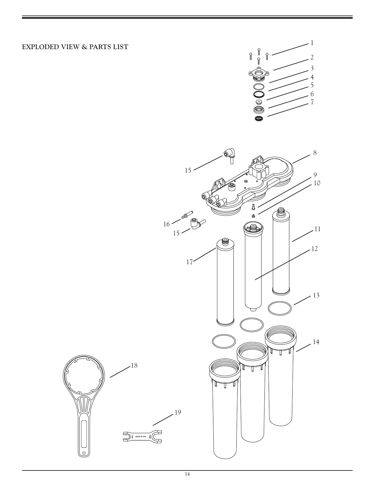# EXPLODED VIEW & PARTS LIST



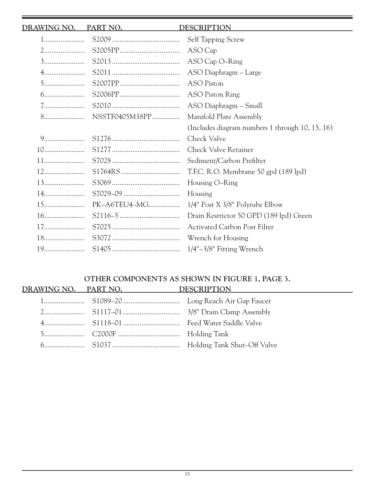|     | DRAWING NO. PART NO. | <b>DESCRIPTION</b>                              |
|-----|----------------------|-------------------------------------------------|
| $1$ |                      | Self Tapping Screw                              |
|     |                      | ASO Cap                                         |
|     |                      |                                                 |
|     |                      | ASO Diaphragm - Large                           |
|     |                      |                                                 |
|     |                      | <b>ASO Piston Ring</b>                          |
|     | $7$ $S2010$          | ASO Diaphragm - Small                           |
|     |                      | Manifold Plate Assembly                         |
|     |                      | (Includes diagram numbers 1 through 10, 15, 16) |
|     |                      | Check Valve                                     |
|     |                      | <b>Check Valve Retainer</b>                     |
|     |                      | Sediment/Carbon Prefilter                       |
|     |                      | T.F.C. R.O. Membrane 50 gpd (189 lpd)           |
|     |                      | Housing O-Ring                                  |
|     |                      | Housing                                         |
|     | PK-A6TEU4-MG         | $1/4$ " Post X $3/8$ " Polytube Elbow           |
|     |                      | Drain Restrictor 50 GPD (189 lpd) Green         |
|     |                      | <b>Activated Carbon Post Filter</b>             |
|     |                      |                                                 |
|     |                      |                                                 |

# **OTHER COMPONENTS AS SHOWN IN FIGURE 1, PAGE 3. DRAWING NO. PART NO. DESCRIPTION**